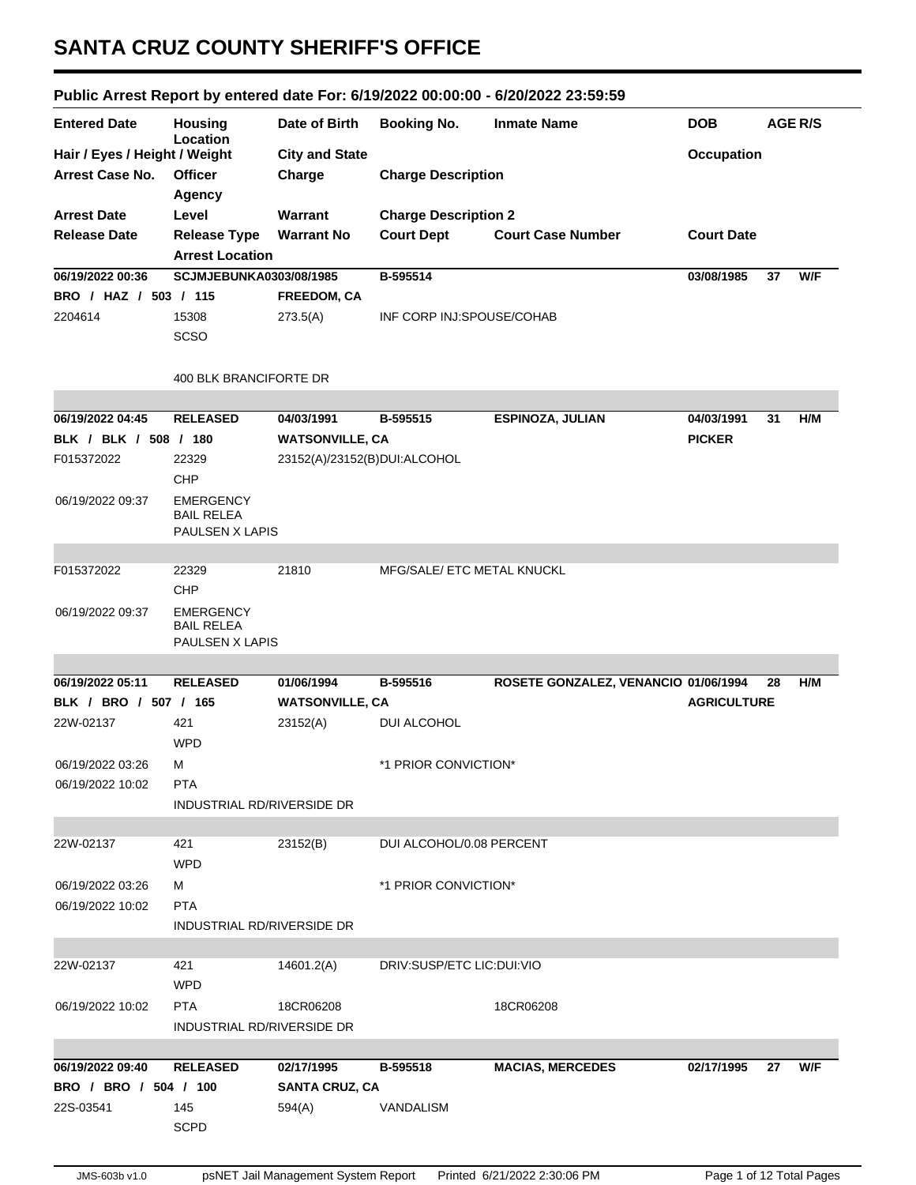## **SANTA CRUZ COUNTY SHERIFF'S OFFICE**

## **Public Arrest Report by entered date For: 6/19/2022 00:00:00 - 6/20/2022 23:59:59**

| <b>Entered Date</b>           | Housing<br>Location                                      | Date of Birth                | <b>Booking No.</b>          | <b>Inmate Name</b>                   | <b>DOB</b>         | <b>AGE R/S</b> |     |
|-------------------------------|----------------------------------------------------------|------------------------------|-----------------------------|--------------------------------------|--------------------|----------------|-----|
| Hair / Eyes / Height / Weight |                                                          | <b>City and State</b>        |                             |                                      | <b>Occupation</b>  |                |     |
| <b>Arrest Case No.</b>        | <b>Officer</b>                                           | Charge                       | <b>Charge Description</b>   |                                      |                    |                |     |
|                               | Agency                                                   |                              |                             |                                      |                    |                |     |
| <b>Arrest Date</b>            | Level                                                    | Warrant                      | <b>Charge Description 2</b> |                                      |                    |                |     |
| <b>Release Date</b>           | <b>Release Type</b>                                      | <b>Warrant No</b>            | <b>Court Dept</b>           | <b>Court Case Number</b>             | <b>Court Date</b>  |                |     |
|                               | <b>Arrest Location</b>                                   |                              |                             |                                      |                    |                |     |
| 06/19/2022 00:36              | <b>SCJMJEBUNKA0303/08/1985</b>                           |                              | B-595514                    |                                      | 03/08/1985         | 37             | W/F |
| BRO / HAZ / 503 / 115         |                                                          | <b>FREEDOM, CA</b>           |                             |                                      |                    |                |     |
| 2204614                       | 15308                                                    | 273.5(A)                     | INF CORP INJ:SPOUSE/COHAB   |                                      |                    |                |     |
|                               | SCSO                                                     |                              |                             |                                      |                    |                |     |
|                               |                                                          |                              |                             |                                      |                    |                |     |
|                               | 400 BLK BRANCIFORTE DR                                   |                              |                             |                                      |                    |                |     |
|                               |                                                          |                              |                             |                                      |                    |                |     |
| 06/19/2022 04:45              | <b>RELEASED</b>                                          | 04/03/1991                   | B-595515                    | ESPINOZA, JULIAN                     | 04/03/1991         | 31             | H/M |
| BLK / BLK / 508 / 180         |                                                          | <b>WATSONVILLE, CA</b>       |                             |                                      | <b>PICKER</b>      |                |     |
| F015372022                    | 22329                                                    | 23152(A)/23152(B)DUI:ALCOHOL |                             |                                      |                    |                |     |
|                               | CHP                                                      |                              |                             |                                      |                    |                |     |
| 06/19/2022 09:37              | <b>EMERGENCY</b><br><b>BAIL RELEA</b><br>PAULSEN X LAPIS |                              |                             |                                      |                    |                |     |
|                               |                                                          |                              |                             |                                      |                    |                |     |
| F015372022                    | 22329                                                    | 21810                        | MFG/SALE/ ETC METAL KNUCKL  |                                      |                    |                |     |
|                               | CHP                                                      |                              |                             |                                      |                    |                |     |
| 06/19/2022 09:37              | <b>EMERGENCY</b><br><b>BAIL RELEA</b><br>PAULSEN X LAPIS |                              |                             |                                      |                    |                |     |
|                               |                                                          |                              |                             |                                      |                    |                |     |
| 06/19/2022 05:11              | <b>RELEASED</b>                                          | 01/06/1994                   | B-595516                    | ROSETE GONZALEZ, VENANCIO 01/06/1994 |                    | 28             | H/M |
| BLK / BRO / 507 / 165         |                                                          | <b>WATSONVILLE, CA</b>       |                             |                                      | <b>AGRICULTURE</b> |                |     |
| 22W-02137                     | 421                                                      | 23152(A)                     | DUI ALCOHOL                 |                                      |                    |                |     |
|                               | <b>WPD</b>                                               |                              |                             |                                      |                    |                |     |
| 06/19/2022 03:26              | М                                                        |                              | *1 PRIOR CONVICTION*        |                                      |                    |                |     |
| 06/19/2022 10:02              | <b>PTA</b>                                               |                              |                             |                                      |                    |                |     |
|                               | INDUSTRIAL RD/RIVERSIDE DR                               |                              |                             |                                      |                    |                |     |
|                               |                                                          |                              |                             |                                      |                    |                |     |
| 22W-02137                     | 421<br><b>WPD</b>                                        | 23152(B)                     | DUI ALCOHOL/0.08 PERCENT    |                                      |                    |                |     |
| 06/19/2022 03:26              | м                                                        |                              | *1 PRIOR CONVICTION*        |                                      |                    |                |     |
| 06/19/2022 10:02              | <b>PTA</b>                                               |                              |                             |                                      |                    |                |     |
|                               | INDUSTRIAL RD/RIVERSIDE DR                               |                              |                             |                                      |                    |                |     |
|                               |                                                          |                              |                             |                                      |                    |                |     |
| 22W-02137                     | 421                                                      | 14601.2(A)                   | DRIV:SUSP/ETC LIC:DUI:VIO   |                                      |                    |                |     |
|                               | <b>WPD</b>                                               |                              |                             |                                      |                    |                |     |
| 06/19/2022 10:02              | <b>PTA</b>                                               | 18CR06208                    |                             | 18CR06208                            |                    |                |     |
|                               | INDUSTRIAL RD/RIVERSIDE DR                               |                              |                             |                                      |                    |                |     |
|                               |                                                          |                              |                             |                                      |                    |                |     |
| 06/19/2022 09:40              | <b>RELEASED</b>                                          | 02/17/1995                   | B-595518                    | <b>MACIAS, MERCEDES</b>              | 02/17/1995         | 27             | W/F |
| BRO / BRO / 504 / 100         |                                                          | <b>SANTA CRUZ, CA</b>        |                             |                                      |                    |                |     |
| 22S-03541                     | 145                                                      | 594(A)                       | VANDALISM                   |                                      |                    |                |     |
|                               | <b>SCPD</b>                                              |                              |                             |                                      |                    |                |     |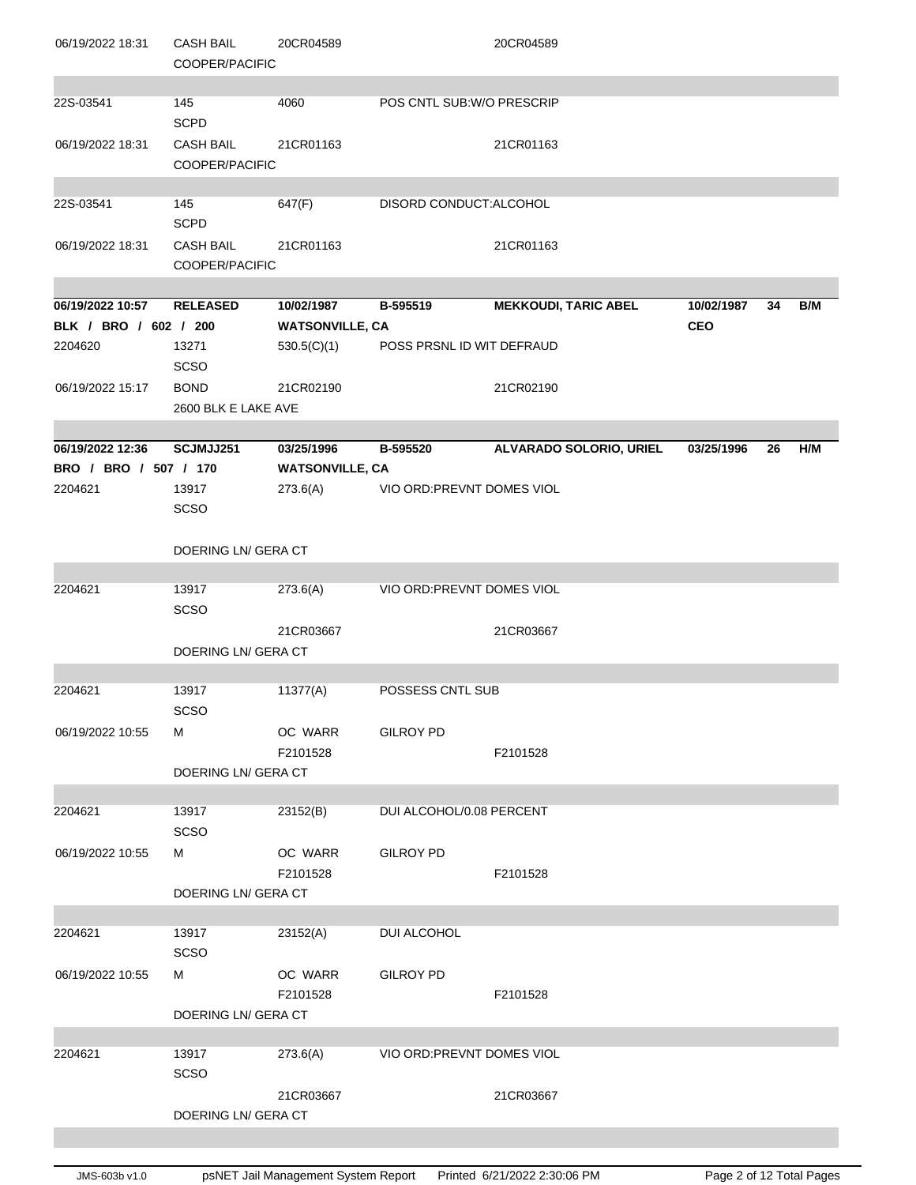| 06/19/2022 18:31      | <b>CASH BAIL</b><br>COOPER/PACIFIC | 20CR04589              |                            | 20CR04589                      |            |    |     |
|-----------------------|------------------------------------|------------------------|----------------------------|--------------------------------|------------|----|-----|
| 22S-03541             | 145<br><b>SCPD</b>                 | 4060                   | POS CNTL SUB: W/O PRESCRIP |                                |            |    |     |
| 06/19/2022 18:31      | <b>CASH BAIL</b><br>COOPER/PACIFIC | 21CR01163              |                            | 21CR01163                      |            |    |     |
| 22S-03541             | 145<br><b>SCPD</b>                 | 647(F)                 | DISORD CONDUCT: ALCOHOL    |                                |            |    |     |
| 06/19/2022 18:31      | <b>CASH BAIL</b><br>COOPER/PACIFIC | 21CR01163              |                            | 21CR01163                      |            |    |     |
| 06/19/2022 10:57      | <b>RELEASED</b>                    | 10/02/1987             | B-595519                   | <b>MEKKOUDI, TARIC ABEL</b>    | 10/02/1987 | 34 | B/M |
| BLK / BRO / 602 / 200 |                                    | <b>WATSONVILLE, CA</b> |                            |                                | <b>CEO</b> |    |     |
| 2204620               | 13271<br>SCSO                      | 530.5(C)(1)            | POSS PRSNL ID WIT DEFRAUD  |                                |            |    |     |
| 06/19/2022 15:17      | <b>BOND</b><br>2600 BLK E LAKE AVE | 21CR02190              |                            | 21CR02190                      |            |    |     |
|                       |                                    |                        |                            |                                |            |    |     |
| 06/19/2022 12:36      | SCJMJJ251                          | 03/25/1996             | B-595520                   | <b>ALVARADO SOLORIO, URIEL</b> | 03/25/1996 | 26 | H/M |
| BRO / BRO / 507 / 170 |                                    | <b>WATSONVILLE, CA</b> |                            |                                |            |    |     |
| 2204621               | 13917<br><b>SCSO</b>               | 273.6(A)               | VIO ORD: PREVNT DOMES VIOL |                                |            |    |     |
|                       | DOERING LN/ GERA CT                |                        |                            |                                |            |    |     |
| 2204621               | 13917<br><b>SCSO</b>               | 273.6(A)               | VIO ORD: PREVNT DOMES VIOL |                                |            |    |     |
|                       |                                    | 21CR03667              |                            | 21CR03667                      |            |    |     |
|                       | DOERING LN/ GERA CT                |                        |                            |                                |            |    |     |
| 2204621               | 13917<br>SCSO                      | 11377(A)               | POSSESS CNTL SUB           |                                |            |    |     |
| 06/19/2022 10:55      | м                                  | OC WARR<br>F2101528    | <b>GILROY PD</b>           | F2101528                       |            |    |     |
|                       | DOERING LN/ GERA CT                |                        |                            |                                |            |    |     |
|                       |                                    |                        |                            |                                |            |    |     |
| 2204621               | 13917<br><b>SCSO</b>               | 23152(B)               | DUI ALCOHOL/0.08 PERCENT   |                                |            |    |     |
| 06/19/2022 10:55      | м                                  | OC WARR<br>F2101528    | <b>GILROY PD</b>           | F2101528                       |            |    |     |
|                       | DOERING LN/ GERA CT                |                        |                            |                                |            |    |     |
| 2204621               | 13917                              | 23152(A)               | DUI ALCOHOL                |                                |            |    |     |
|                       | SCSO                               |                        |                            |                                |            |    |     |
| 06/19/2022 10:55      | М                                  | OC WARR<br>F2101528    | <b>GILROY PD</b>           | F2101528                       |            |    |     |
|                       | DOERING LN/ GERA CT                |                        |                            |                                |            |    |     |
|                       |                                    |                        |                            |                                |            |    |     |
| 2204621               | 13917<br><b>SCSO</b>               | 273.6(A)               | VIO ORD: PREVNT DOMES VIOL |                                |            |    |     |
|                       | DOERING LN/ GERA CT                | 21CR03667              |                            | 21CR03667                      |            |    |     |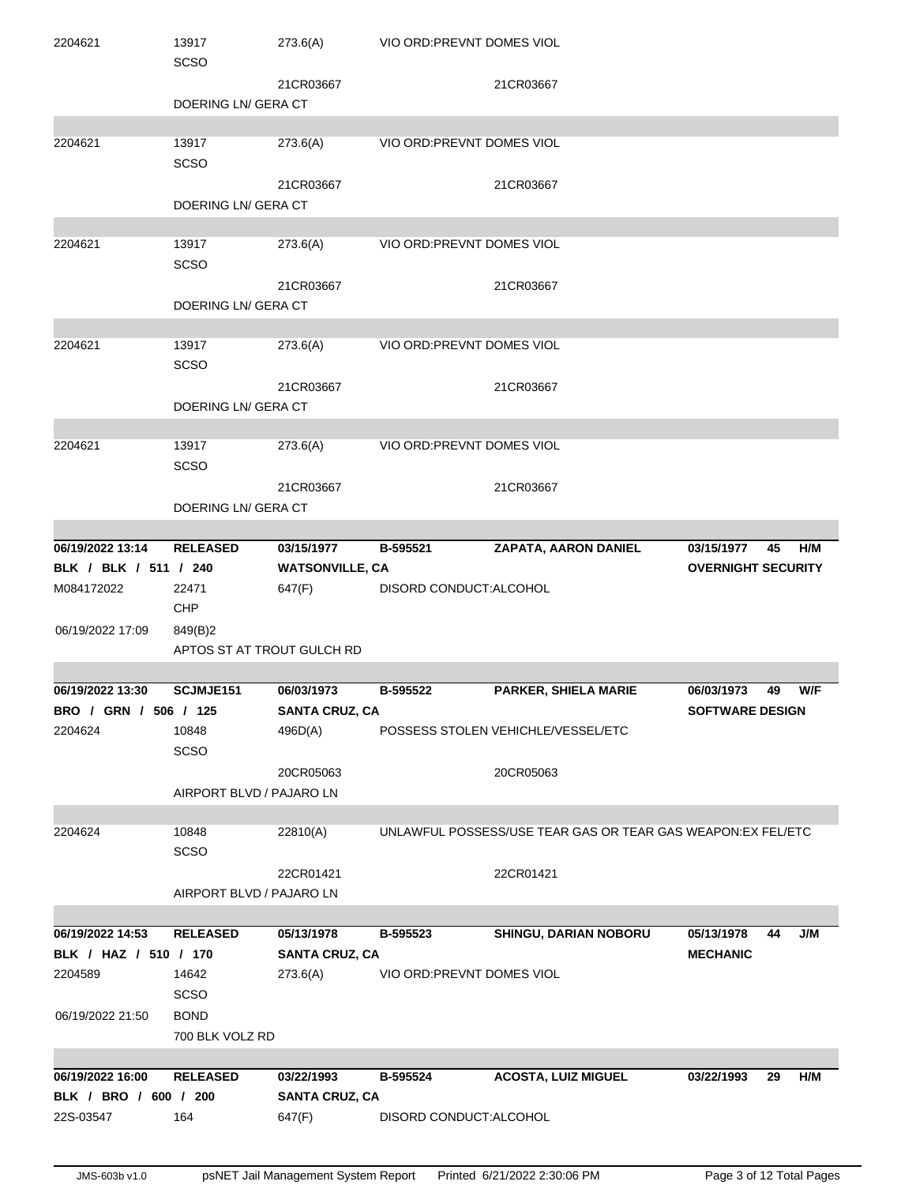| 2204621               | 13917<br><b>SCSO</b>       | 273.6(A)               | VIO ORD: PREVNT DOMES VIOL |                                                              |                           |
|-----------------------|----------------------------|------------------------|----------------------------|--------------------------------------------------------------|---------------------------|
|                       |                            | 21CR03667              |                            | 21CR03667                                                    |                           |
|                       | DOERING LN/ GERA CT        |                        |                            |                                                              |                           |
| 2204621               | 13917<br><b>SCSO</b>       | 273.6(A)               | VIO ORD: PREVNT DOMES VIOL |                                                              |                           |
|                       |                            | 21CR03667              |                            | 21CR03667                                                    |                           |
|                       | DOERING LN/ GERA CT        |                        |                            |                                                              |                           |
|                       |                            |                        |                            |                                                              |                           |
| 2204621               | 13917                      | 273.6(A)               | VIO ORD: PREVNT DOMES VIOL |                                                              |                           |
|                       | <b>SCSO</b>                |                        |                            |                                                              |                           |
|                       |                            | 21CR03667              |                            | 21CR03667                                                    |                           |
|                       | DOERING LN/ GERA CT        |                        |                            |                                                              |                           |
|                       |                            |                        |                            |                                                              |                           |
| 2204621               | 13917<br><b>SCSO</b>       | 273.6(A)               | VIO ORD: PREVNT DOMES VIOL |                                                              |                           |
|                       |                            | 21CR03667              |                            | 21CR03667                                                    |                           |
|                       | DOERING LN/ GERA CT        |                        |                            |                                                              |                           |
|                       |                            |                        |                            |                                                              |                           |
| 2204621               | 13917<br><b>SCSO</b>       | 273.6(A)               | VIO ORD: PREVNT DOMES VIOL |                                                              |                           |
|                       |                            | 21CR03667              |                            | 21CR03667                                                    |                           |
|                       | DOERING LN/ GERA CT        |                        |                            |                                                              |                           |
|                       |                            |                        |                            |                                                              |                           |
| 06/19/2022 13:14      | <b>RELEASED</b>            | 03/15/1977             | B-595521                   | <b>ZAPATA, AARON DANIEL</b>                                  | H/M<br>03/15/1977<br>45   |
| BLK / BLK / 511 / 240 |                            | <b>WATSONVILLE, CA</b> |                            |                                                              | <b>OVERNIGHT SECURITY</b> |
| M084172022            | 22471<br>CHP               | 647(F)                 | DISORD CONDUCT: ALCOHOL    |                                                              |                           |
| 06/19/2022 17:09      | 849(B)2                    |                        |                            |                                                              |                           |
|                       | APTOS ST AT TROUT GULCH RD |                        |                            |                                                              |                           |
|                       |                            |                        |                            |                                                              |                           |
| 06/19/2022 13:30      | SCJMJE151                  | 06/03/1973             | B-595522                   | PARKER, SHIELA MARIE                                         | W/F<br>06/03/1973<br>49   |
| BRO / GRN / 506 / 125 |                            | <b>SANTA CRUZ, CA</b>  |                            |                                                              | <b>SOFTWARE DESIGN</b>    |
| 2204624               | 10848<br><b>SCSO</b>       | 496D(A)                |                            | POSSESS STOLEN VEHICHLE/VESSEL/ETC                           |                           |
|                       |                            | 20CR05063              |                            | 20CR05063                                                    |                           |
|                       | AIRPORT BLVD / PAJARO LN   |                        |                            |                                                              |                           |
|                       |                            |                        |                            |                                                              |                           |
| 2204624               | 10848<br><b>SCSO</b>       | 22810(A)               |                            | UNLAWFUL POSSESS/USE TEAR GAS OR TEAR GAS WEAPON: EX FEL/ETC |                           |
|                       |                            | 22CR01421              |                            | 22CR01421                                                    |                           |
|                       | AIRPORT BLVD / PAJARO LN   |                        |                            |                                                              |                           |
|                       |                            |                        |                            |                                                              |                           |
| 06/19/2022 14:53      | <b>RELEASED</b>            | 05/13/1978             | B-595523                   | SHINGU, DARIAN NOBORU                                        | J/M<br>05/13/1978<br>44   |
| BLK / HAZ / 510 / 170 |                            | <b>SANTA CRUZ, CA</b>  |                            |                                                              | <b>MECHANIC</b>           |
| 2204589               | 14642                      | 273.6(A)               | VIO ORD: PREVNT DOMES VIOL |                                                              |                           |
|                       | <b>SCSO</b>                |                        |                            |                                                              |                           |
| 06/19/2022 21:50      | <b>BOND</b>                |                        |                            |                                                              |                           |
|                       | 700 BLK VOLZ RD            |                        |                            |                                                              |                           |
|                       |                            |                        |                            |                                                              |                           |
| 06/19/2022 16:00      | <b>RELEASED</b>            | 03/22/1993             | B-595524                   | <b>ACOSTA, LUIZ MIGUEL</b>                                   | 03/22/1993<br>29<br>H/M   |
| BLK / BRO / 600 / 200 |                            | <b>SANTA CRUZ, CA</b>  |                            |                                                              |                           |
| 22S-03547             | 164                        | 647(F)                 | DISORD CONDUCT: ALCOHOL    |                                                              |                           |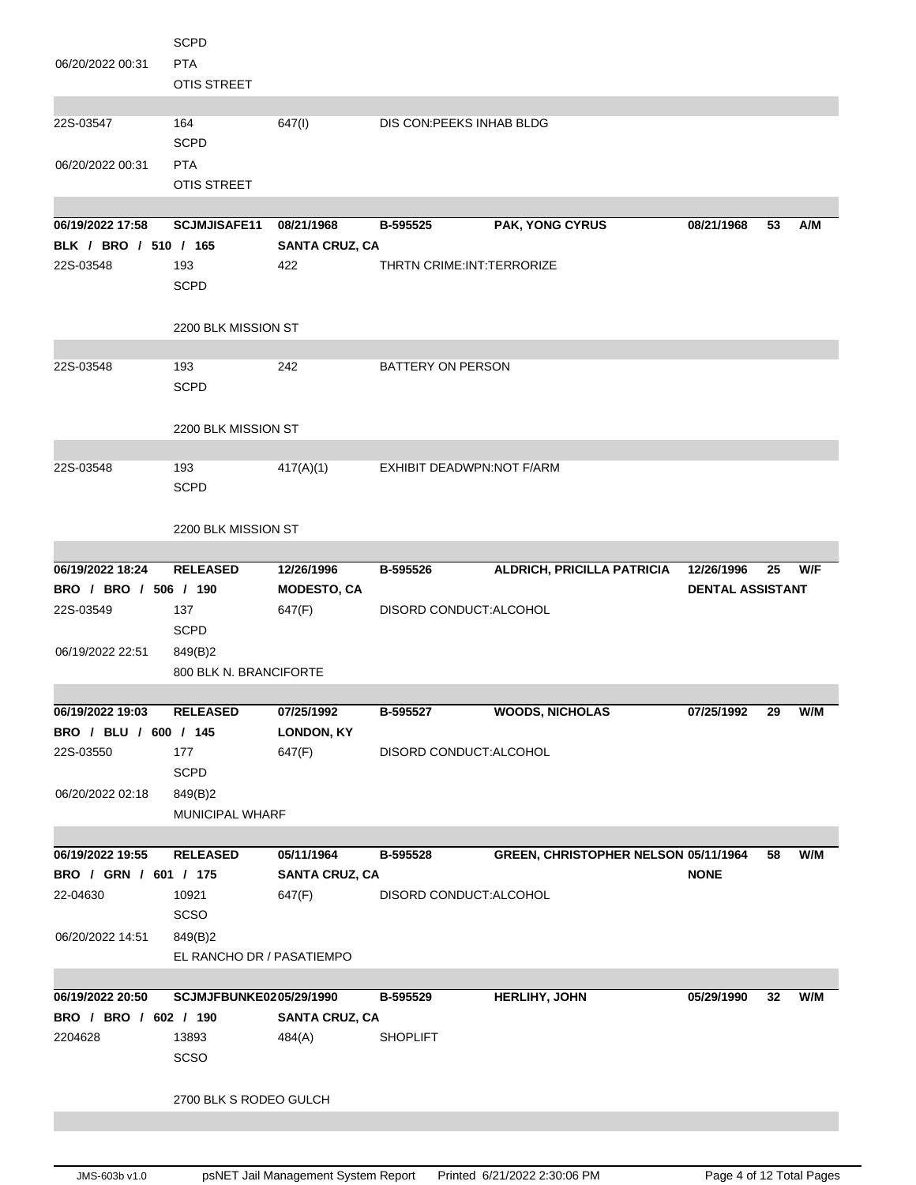|                       | <b>SCPD</b>               |                       |                             |                                      |                         |    |     |
|-----------------------|---------------------------|-----------------------|-----------------------------|--------------------------------------|-------------------------|----|-----|
| 06/20/2022 00:31      | <b>PTA</b>                |                       |                             |                                      |                         |    |     |
|                       | <b>OTIS STREET</b>        |                       |                             |                                      |                         |    |     |
|                       |                           |                       |                             |                                      |                         |    |     |
| 22S-03547             | 164                       | 647(1)                | DIS CON: PEEKS INHAB BLDG   |                                      |                         |    |     |
|                       | <b>SCPD</b>               |                       |                             |                                      |                         |    |     |
| 06/20/2022 00:31      | <b>PTA</b>                |                       |                             |                                      |                         |    |     |
|                       | <b>OTIS STREET</b>        |                       |                             |                                      |                         |    |     |
|                       |                           |                       |                             |                                      |                         |    |     |
| 06/19/2022 17:58      | <b>SCJMJISAFE11</b>       | 08/21/1968            | B-595525                    | <b>PAK, YONG CYRUS</b>               | 08/21/1968              | 53 | A/M |
| BLK / BRO / 510 / 165 |                           | <b>SANTA CRUZ, CA</b> |                             |                                      |                         |    |     |
| 22S-03548             | 193                       | 422                   | THRTN CRIME: INT: TERRORIZE |                                      |                         |    |     |
|                       |                           |                       |                             |                                      |                         |    |     |
|                       | <b>SCPD</b>               |                       |                             |                                      |                         |    |     |
|                       |                           |                       |                             |                                      |                         |    |     |
|                       | 2200 BLK MISSION ST       |                       |                             |                                      |                         |    |     |
|                       |                           |                       |                             |                                      |                         |    |     |
| 22S-03548             | 193                       | 242                   | BATTERY ON PERSON           |                                      |                         |    |     |
|                       | <b>SCPD</b>               |                       |                             |                                      |                         |    |     |
|                       |                           |                       |                             |                                      |                         |    |     |
|                       | 2200 BLK MISSION ST       |                       |                             |                                      |                         |    |     |
|                       |                           |                       |                             |                                      |                         |    |     |
| 22S-03548             | 193                       | 417(A)(1)             | EXHIBIT DEADWPN:NOT F/ARM   |                                      |                         |    |     |
|                       | <b>SCPD</b>               |                       |                             |                                      |                         |    |     |
|                       |                           |                       |                             |                                      |                         |    |     |
|                       | 2200 BLK MISSION ST       |                       |                             |                                      |                         |    |     |
|                       |                           |                       |                             |                                      |                         |    |     |
| 06/19/2022 18:24      | <b>RELEASED</b>           | 12/26/1996            | B-595526                    | ALDRICH, PRICILLA PATRICIA           | 12/26/1996              | 25 | W/F |
| BRO / BRO / 506 / 190 |                           | <b>MODESTO, CA</b>    |                             |                                      | <b>DENTAL ASSISTANT</b> |    |     |
|                       |                           |                       |                             |                                      |                         |    |     |
| 22S-03549             | 137                       | 647(F)                | DISORD CONDUCT: ALCOHOL     |                                      |                         |    |     |
|                       | <b>SCPD</b>               |                       |                             |                                      |                         |    |     |
| 06/19/2022 22:51      | 849(B)2                   |                       |                             |                                      |                         |    |     |
|                       | 800 BLK N. BRANCIFORTE    |                       |                             |                                      |                         |    |     |
|                       |                           |                       |                             |                                      |                         |    |     |
|                       |                           |                       |                             |                                      |                         |    |     |
| 06/19/2022 19:03      | <b>RELEASED</b>           | 07/25/1992            | B-595527                    | <b>WOODS, NICHOLAS</b>               | 07/25/1992              | 29 | W/M |
| BRO / BLU / 600 / 145 |                           | LONDON, KY            |                             |                                      |                         |    |     |
| 22S-03550             | 177                       | 647(F)                | DISORD CONDUCT: ALCOHOL     |                                      |                         |    |     |
|                       | <b>SCPD</b>               |                       |                             |                                      |                         |    |     |
| 06/20/2022 02:18      | 849(B)2                   |                       |                             |                                      |                         |    |     |
|                       | <b>MUNICIPAL WHARF</b>    |                       |                             |                                      |                         |    |     |
|                       |                           |                       |                             |                                      |                         |    |     |
| 06/19/2022 19:55      | <b>RELEASED</b>           | 05/11/1964            | B-595528                    | GREEN, CHRISTOPHER NELSON 05/11/1964 |                         | 58 | W/M |
| BRO / GRN / 601 / 175 |                           | <b>SANTA CRUZ, CA</b> |                             |                                      | <b>NONE</b>             |    |     |
| 22-04630              | 10921                     | 647(F)                | DISORD CONDUCT: ALCOHOL     |                                      |                         |    |     |
|                       | <b>SCSO</b>               |                       |                             |                                      |                         |    |     |
| 06/20/2022 14:51      | 849(B)2                   |                       |                             |                                      |                         |    |     |
|                       | EL RANCHO DR / PASATIEMPO |                       |                             |                                      |                         |    |     |
|                       |                           |                       |                             |                                      |                         |    |     |
| 06/19/2022 20:50      | SCJMJFBUNKE0205/29/1990   |                       | B-595529                    | <b>HERLIHY, JOHN</b>                 | 05/29/1990              | 32 | W/M |
| BRO / BRO / 602 / 190 |                           | <b>SANTA CRUZ, CA</b> |                             |                                      |                         |    |     |
| 2204628               | 13893                     | 484(A)                | <b>SHOPLIFT</b>             |                                      |                         |    |     |
|                       | SCSO                      |                       |                             |                                      |                         |    |     |
|                       |                           |                       |                             |                                      |                         |    |     |
|                       | 2700 BLK S RODEO GULCH    |                       |                             |                                      |                         |    |     |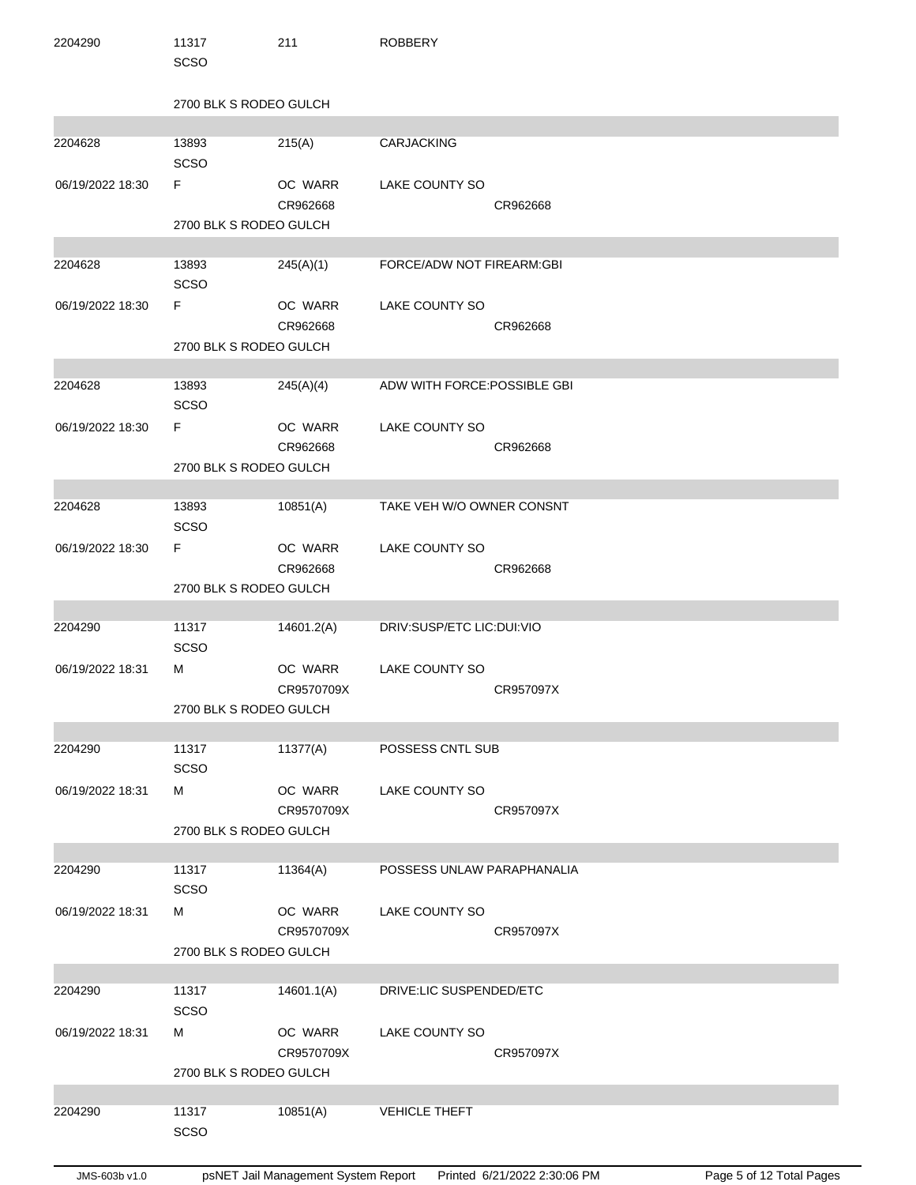| 2204290          | 11317<br><b>SCSO</b>         | 211                   | <b>ROBBERY</b>               |           |
|------------------|------------------------------|-----------------------|------------------------------|-----------|
|                  | 2700 BLK S RODEO GULCH       |                       |                              |           |
| 2204628          | 13893<br>SCSO                | 215(A)                | <b>CARJACKING</b>            |           |
| 06/19/2022 18:30 | F<br>2700 BLK S RODEO GULCH  | OC WARR<br>CR962668   | LAKE COUNTY SO               | CR962668  |
| 2204628          | 13893                        | 245(A)(1)             | FORCE/ADW NOT FIREARM:GBI    |           |
|                  | <b>SCSO</b>                  |                       |                              |           |
| 06/19/2022 18:30 | F                            | OC WARR<br>CR962668   | LAKE COUNTY SO               | CR962668  |
|                  | 2700 BLK S RODEO GULCH       |                       |                              |           |
| 2204628          | 13893<br>SCSO                | 245(A)(4)             | ADW WITH FORCE: POSSIBLE GBI |           |
| 06/19/2022 18:30 | F.                           | OC WARR<br>CR962668   | LAKE COUNTY SO               | CR962668  |
|                  | 2700 BLK S RODEO GULCH       |                       |                              |           |
| 2204628          | 13893<br><b>SCSO</b>         | 10851(A)              | TAKE VEH W/O OWNER CONSNT    |           |
| 06/19/2022 18:30 | F.<br>2700 BLK S RODEO GULCH | OC WARR<br>CR962668   | LAKE COUNTY SO               | CR962668  |
|                  |                              |                       |                              |           |
| 2204290          | 11317<br><b>SCSO</b>         | 14601.2(A)            | DRIV:SUSP/ETC LIC:DUI:VIO    |           |
| 06/19/2022 18:31 | м                            | OC WARR<br>CR9570709X | LAKE COUNTY SO               | CR957097X |
|                  | 2700 BLK S RODEO GULCH       |                       |                              |           |
| 2204290          | 11317<br>SCSO                | 11377(A)              | POSSESS CNTL SUB             |           |
| 06/19/2022 18:31 | м                            | OC WARR<br>CR9570709X | LAKE COUNTY SO               | CR957097X |
|                  | 2700 BLK S RODEO GULCH       |                       |                              |           |
| 2204290          | 11317<br>SCSO                | 11364(A)              | POSSESS UNLAW PARAPHANALIA   |           |
| 06/19/2022 18:31 | М                            | OC WARR<br>CR9570709X | LAKE COUNTY SO               | CR957097X |
|                  | 2700 BLK S RODEO GULCH       |                       |                              |           |
| 2204290          | 11317<br>SCSO                | 14601.1(A)            | DRIVE:LIC SUSPENDED/ETC      |           |
| 06/19/2022 18:31 | м                            | OC WARR<br>CR9570709X | LAKE COUNTY SO               | CR957097X |
|                  | 2700 BLK S RODEO GULCH       |                       |                              |           |
| 2204290          | 11317<br>SCSO                | 10851(A)              | <b>VEHICLE THEFT</b>         |           |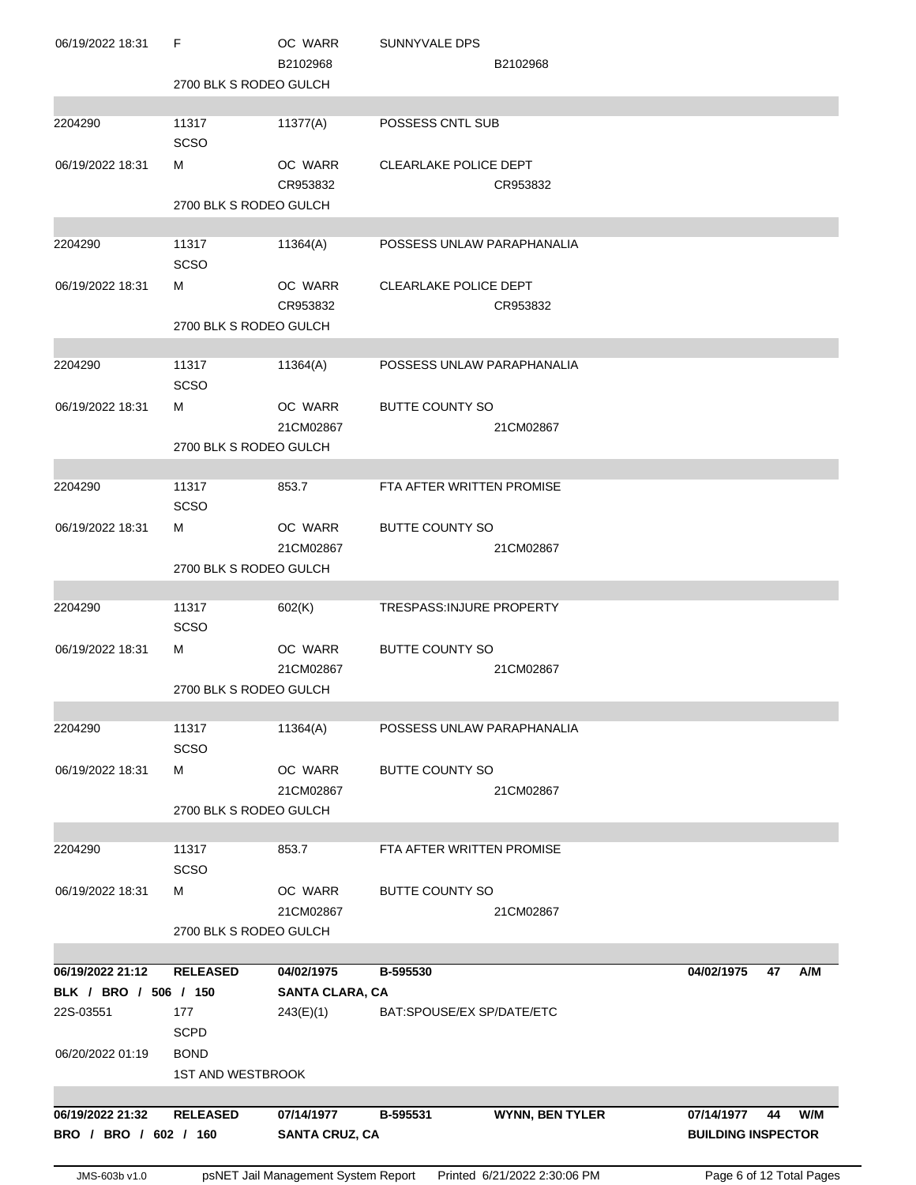| JMS-603b v1.0                             |                          |                                     | psNET Jail Management System Report Printed 6/21/2022 2:30:06 PM | Page 6 of 12 Total Pages                             |
|-------------------------------------------|--------------------------|-------------------------------------|------------------------------------------------------------------|------------------------------------------------------|
| 06/19/2022 21:32<br>BRO / BRO / 602 / 160 | <b>RELEASED</b>          | 07/14/1977<br><b>SANTA CRUZ, CA</b> | <b>WYNN, BEN TYLER</b><br>B-595531                               | 07/14/1977<br>W/M<br>44<br><b>BUILDING INSPECTOR</b> |
|                                           |                          |                                     |                                                                  |                                                      |
|                                           | <b>1ST AND WESTBROOK</b> |                                     |                                                                  |                                                      |
| 06/20/2022 01:19                          | <b>BOND</b>              |                                     |                                                                  |                                                      |
| 22S-03551                                 | 177<br><b>SCPD</b>       | 243(E)(1)                           | BAT:SPOUSE/EX SP/DATE/ETC                                        |                                                      |
| BLK / BRO / 506 / 150                     |                          | SANTA CLARA, CA                     |                                                                  |                                                      |
| 06/19/2022 21:12                          | <b>RELEASED</b>          | 04/02/1975                          | B-595530                                                         | 04/02/1975<br>47<br>A/M                              |
|                                           |                          |                                     |                                                                  |                                                      |
|                                           | 2700 BLK S RODEO GULCH   | 21CM02867                           | 21CM02867                                                        |                                                      |
| 06/19/2022 18:31                          | м                        | OC WARR                             | <b>BUTTE COUNTY SO</b>                                           |                                                      |
|                                           | <b>SCSO</b>              |                                     |                                                                  |                                                      |
| 2204290                                   | 11317                    | 853.7                               | FTA AFTER WRITTEN PROMISE                                        |                                                      |
|                                           |                          |                                     |                                                                  |                                                      |
|                                           | 2700 BLK S RODEO GULCH   | 21CM02867                           | 21CM02867                                                        |                                                      |
| 06/19/2022 18:31                          | м                        | OC WARR                             | <b>BUTTE COUNTY SO</b>                                           |                                                      |
|                                           | <b>SCSO</b>              |                                     |                                                                  |                                                      |
| 2204290                                   | 11317                    | 11364(A)                            | POSSESS UNLAW PARAPHANALIA                                       |                                                      |
|                                           |                          |                                     |                                                                  |                                                      |
|                                           | 2700 BLK S RODEO GULCH   | 21CM02867                           | 21CM02867                                                        |                                                      |
| 06/19/2022 18:31                          | м                        | OC WARR                             | <b>BUTTE COUNTY SO</b>                                           |                                                      |
|                                           | <b>SCSO</b>              |                                     |                                                                  |                                                      |
| 2204290                                   | 11317                    | 602(K)                              | <b>TRESPASS:INJURE PROPERTY</b>                                  |                                                      |
|                                           | 2700 BLK S RODEO GULCH   |                                     |                                                                  |                                                      |
|                                           |                          | 21CM02867                           | 21CM02867                                                        |                                                      |
| 06/19/2022 18:31                          | м                        | OC WARR                             | <b>BUTTE COUNTY SO</b>                                           |                                                      |
|                                           | <b>SCSO</b>              |                                     |                                                                  |                                                      |
| 2204290                                   | 11317                    | 853.7                               | FTA AFTER WRITTEN PROMISE                                        |                                                      |
|                                           | 2700 BLK S RODEO GULCH   |                                     |                                                                  |                                                      |
|                                           |                          | 21CM02867                           | 21CM02867                                                        |                                                      |
| 06/19/2022 18:31                          | м                        | OC WARR                             | <b>BUTTE COUNTY SO</b>                                           |                                                      |
| 2204290                                   | 11317<br><b>SCSO</b>     | 11364(A)                            | POSSESS UNLAW PARAPHANALIA                                       |                                                      |
|                                           |                          |                                     |                                                                  |                                                      |
|                                           | 2700 BLK S RODEO GULCH   |                                     |                                                                  |                                                      |
| 06/19/2022 18:31                          | м                        | OC WARR<br>CR953832                 | <b>CLEARLAKE POLICE DEPT</b><br>CR953832                         |                                                      |
|                                           | <b>SCSO</b>              |                                     |                                                                  |                                                      |
| 2204290                                   | 11317                    | 11364(A)                            | POSSESS UNLAW PARAPHANALIA                                       |                                                      |
|                                           |                          |                                     |                                                                  |                                                      |
|                                           | 2700 BLK S RODEO GULCH   | CR953832                            | CR953832                                                         |                                                      |
| 06/19/2022 18:31                          | м                        | OC WARR                             | <b>CLEARLAKE POLICE DEPT</b>                                     |                                                      |
|                                           | <b>SCSO</b>              |                                     |                                                                  |                                                      |
| 2204290                                   | 11317                    | 11377(A)                            | POSSESS CNTL SUB                                                 |                                                      |
|                                           | 2700 BLK S RODEO GULCH   |                                     |                                                                  |                                                      |
|                                           |                          | B2102968                            | B2102968                                                         |                                                      |
| 06/19/2022 18:31                          | F                        | OC WARR                             | <b>SUNNYVALE DPS</b>                                             |                                                      |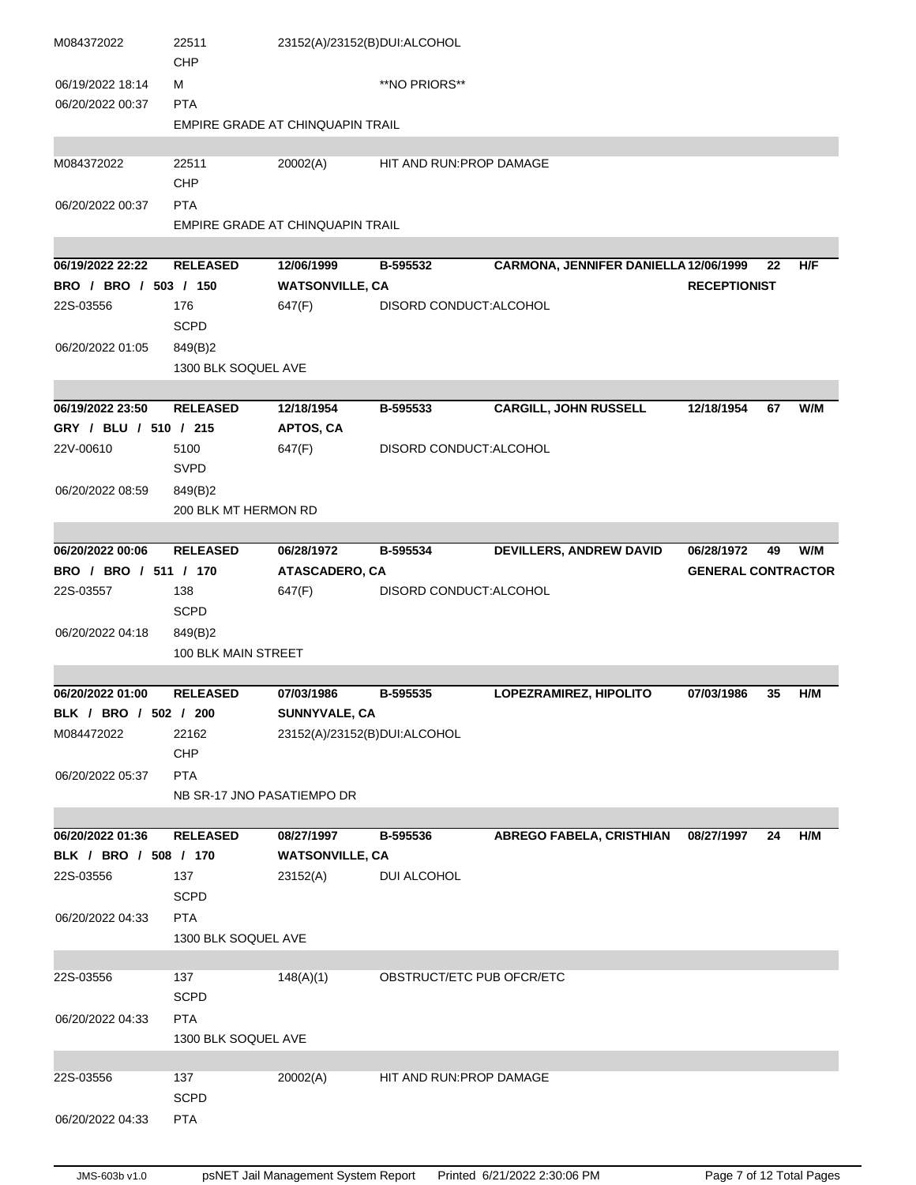| M084372022            | 22511<br><b>CHP</b>        |                                  | 23152(A)/23152(B)DUI:ALCOHOL |                                       |                           |    |     |
|-----------------------|----------------------------|----------------------------------|------------------------------|---------------------------------------|---------------------------|----|-----|
| 06/19/2022 18:14      | м                          |                                  | **NO PRIORS**                |                                       |                           |    |     |
| 06/20/2022 00:37      | <b>PTA</b>                 |                                  |                              |                                       |                           |    |     |
|                       |                            | EMPIRE GRADE AT CHINQUAPIN TRAIL |                              |                                       |                           |    |     |
|                       |                            |                                  |                              |                                       |                           |    |     |
| M084372022            | 22511                      | 20002(A)                         | HIT AND RUN: PROP DAMAGE     |                                       |                           |    |     |
|                       | CHP                        |                                  |                              |                                       |                           |    |     |
| 06/20/2022 00:37      | <b>PTA</b>                 |                                  |                              |                                       |                           |    |     |
|                       |                            | EMPIRE GRADE AT CHINQUAPIN TRAIL |                              |                                       |                           |    |     |
|                       |                            |                                  |                              |                                       |                           |    |     |
| 06/19/2022 22:22      | <b>RELEASED</b>            | 12/06/1999                       | B-595532                     | CARMONA, JENNIFER DANIELLA 12/06/1999 |                           | 22 | H/F |
| BRO / BRO / 503 / 150 |                            | <b>WATSONVILLE, CA</b>           |                              |                                       | <b>RECEPTIONIST</b>       |    |     |
| 22S-03556             | 176                        | 647(F)                           | DISORD CONDUCT: ALCOHOL      |                                       |                           |    |     |
|                       | <b>SCPD</b>                |                                  |                              |                                       |                           |    |     |
| 06/20/2022 01:05      | 849(B)2                    |                                  |                              |                                       |                           |    |     |
|                       | 1300 BLK SOQUEL AVE        |                                  |                              |                                       |                           |    |     |
|                       |                            |                                  |                              |                                       |                           |    |     |
| 06/19/2022 23:50      | <b>RELEASED</b>            | 12/18/1954                       | B-595533                     | <b>CARGILL, JOHN RUSSELL</b>          | 12/18/1954                | 67 | W/M |
| GRY / BLU / 510 / 215 |                            | <b>APTOS, CA</b>                 |                              |                                       |                           |    |     |
| 22V-00610             | 5100                       | 647(F)                           | DISORD CONDUCT: ALCOHOL      |                                       |                           |    |     |
|                       | <b>SVPD</b>                |                                  |                              |                                       |                           |    |     |
| 06/20/2022 08:59      | 849(B)2                    |                                  |                              |                                       |                           |    |     |
|                       | 200 BLK MT HERMON RD       |                                  |                              |                                       |                           |    |     |
|                       |                            |                                  |                              |                                       |                           |    |     |
| 06/20/2022 00:06      | <b>RELEASED</b>            | 06/28/1972                       | B-595534                     | <b>DEVILLERS, ANDREW DAVID</b>        | 06/28/1972                | 49 | W/M |
| BRO / BRO / 511 / 170 |                            | ATASCADERO, CA                   |                              |                                       | <b>GENERAL CONTRACTOR</b> |    |     |
| 22S-03557             | 138                        | 647(F)                           | DISORD CONDUCT: ALCOHOL      |                                       |                           |    |     |
|                       | <b>SCPD</b>                |                                  |                              |                                       |                           |    |     |
| 06/20/2022 04:18      | 849(B)2                    |                                  |                              |                                       |                           |    |     |
|                       | 100 BLK MAIN STREET        |                                  |                              |                                       |                           |    |     |
|                       |                            |                                  |                              |                                       |                           |    |     |
| 06/20/2022 01:00      | <b>RELEASED</b>            | 07/03/1986                       | B-595535                     | LOPEZRAMIREZ, HIPOLITO                | 07/03/1986                | 35 | H/M |
| BLK / BRO / 502 / 200 |                            | SUNNYVALE, CA                    |                              |                                       |                           |    |     |
| M084472022            | 22162                      | 23152(A)/23152(B)DUI:ALCOHOL     |                              |                                       |                           |    |     |
|                       | <b>CHP</b>                 |                                  |                              |                                       |                           |    |     |
| 06/20/2022 05:37      | <b>PTA</b>                 |                                  |                              |                                       |                           |    |     |
|                       | NB SR-17 JNO PASATIEMPO DR |                                  |                              |                                       |                           |    |     |
|                       |                            |                                  |                              |                                       |                           |    |     |
| 06/20/2022 01:36      | <b>RELEASED</b>            | 08/27/1997                       | B-595536                     | <b>ABREGO FABELA, CRISTHIAN</b>       | 08/27/1997                | 24 | H/M |
| BLK / BRO / 508 / 170 |                            | <b>WATSONVILLE, CA</b>           |                              |                                       |                           |    |     |
| 22S-03556             | 137                        | 23152(A)                         | DUI ALCOHOL                  |                                       |                           |    |     |
|                       | <b>SCPD</b>                |                                  |                              |                                       |                           |    |     |
| 06/20/2022 04:33      | <b>PTA</b>                 |                                  |                              |                                       |                           |    |     |
|                       | 1300 BLK SOQUEL AVE        |                                  |                              |                                       |                           |    |     |
|                       |                            |                                  |                              |                                       |                           |    |     |
| 22S-03556             | 137                        | 148(A)(1)                        | OBSTRUCT/ETC PUB OFCR/ETC    |                                       |                           |    |     |
|                       | <b>SCPD</b>                |                                  |                              |                                       |                           |    |     |
| 06/20/2022 04:33      | <b>PTA</b>                 |                                  |                              |                                       |                           |    |     |
|                       | 1300 BLK SOQUEL AVE        |                                  |                              |                                       |                           |    |     |
|                       |                            |                                  |                              |                                       |                           |    |     |
| 22S-03556             | 137                        | 20002(A)                         | HIT AND RUN: PROP DAMAGE     |                                       |                           |    |     |
|                       | <b>SCPD</b>                |                                  |                              |                                       |                           |    |     |
| 06/20/2022 04:33      | <b>PTA</b>                 |                                  |                              |                                       |                           |    |     |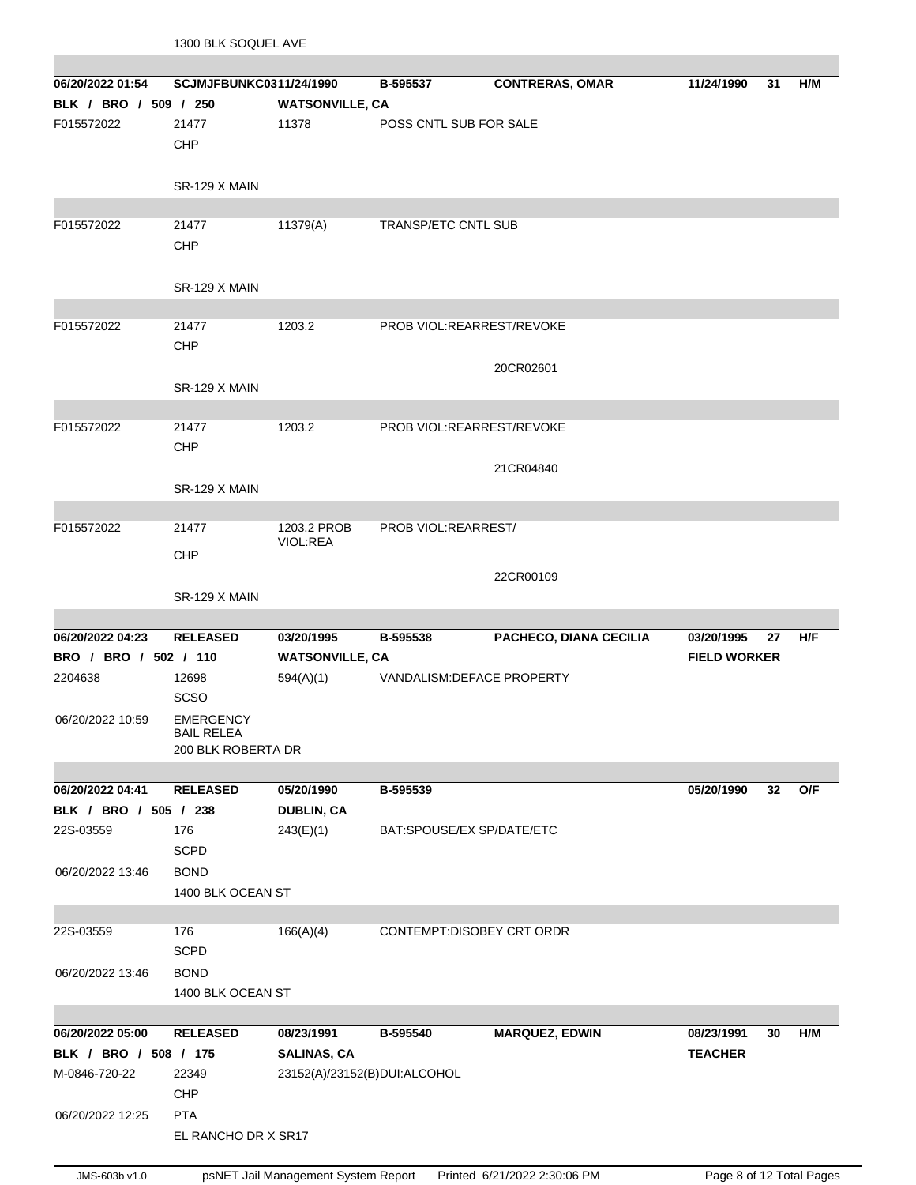| 06/20/2022 01:54<br>BLK / BRO / 509 / 250 | SCJMJFBUNKC0311/24/1990                              |                                 | B-595537                   | <b>CONTRERAS, OMAR</b> | 11/24/1990          | 31 | H/M |
|-------------------------------------------|------------------------------------------------------|---------------------------------|----------------------------|------------------------|---------------------|----|-----|
| F015572022                                | 21477<br>CHP                                         | <b>WATSONVILLE, CA</b><br>11378 | POSS CNTL SUB FOR SALE     |                        |                     |    |     |
|                                           | SR-129 X MAIN                                        |                                 |                            |                        |                     |    |     |
| F015572022                                | 21477                                                | 11379(A)                        | <b>TRANSP/ETC CNTL SUB</b> |                        |                     |    |     |
|                                           | CHP                                                  |                                 |                            |                        |                     |    |     |
|                                           | SR-129 X MAIN                                        |                                 |                            |                        |                     |    |     |
| F015572022                                | 21477                                                | 1203.2                          | PROB VIOL:REARREST/REVOKE  |                        |                     |    |     |
|                                           | CHP                                                  |                                 |                            |                        |                     |    |     |
|                                           | SR-129 X MAIN                                        |                                 |                            | 20CR02601              |                     |    |     |
|                                           |                                                      |                                 |                            |                        |                     |    |     |
| F015572022                                | 21477<br>CHP                                         | 1203.2                          | PROB VIOL:REARREST/REVOKE  |                        |                     |    |     |
|                                           | SR-129 X MAIN                                        |                                 |                            | 21CR04840              |                     |    |     |
|                                           |                                                      |                                 |                            |                        |                     |    |     |
| F015572022                                | 21477                                                | 1203.2 PROB                     | PROB VIOL:REARREST/        |                        |                     |    |     |
|                                           | CHP                                                  | VIOL:REA                        |                            |                        |                     |    |     |
|                                           |                                                      |                                 |                            | 22CR00109              |                     |    |     |
|                                           | SR-129 X MAIN                                        |                                 |                            |                        |                     |    |     |
| 06/20/2022 04:23                          | <b>RELEASED</b>                                      | 03/20/1995                      | B-595538                   | PACHECO, DIANA CECILIA | 03/20/1995          | 27 | H/F |
| BRO / BRO / 502 / 110                     |                                                      | <b>WATSONVILLE, CA</b>          |                            |                        | <b>FIELD WORKER</b> |    |     |
| 2204638                                   | 12698                                                | 594(A)(1)                       | VANDALISM: DEFACE PROPERTY |                        |                     |    |     |
|                                           | <b>SCSO</b>                                          |                                 |                            |                        |                     |    |     |
| 06/20/2022 10:59                          | <b>EMERGENCY</b><br>BAIL RELEA<br>200 BLK ROBERTA DR |                                 |                            |                        |                     |    |     |
|                                           |                                                      |                                 |                            |                        |                     |    |     |
| 06/20/2022 04:41                          | <b>RELEASED</b>                                      | 05/20/1990                      | B-595539                   |                        | 05/20/1990          | 32 | O/F |
| BLK / BRO / 505 / 238                     |                                                      | <b>DUBLIN, CA</b>               |                            |                        |                     |    |     |
| 22S-03559                                 | 176<br><b>SCPD</b>                                   | 243(E)(1)                       | BAT:SPOUSE/EX SP/DATE/ETC  |                        |                     |    |     |
| 06/20/2022 13:46                          | <b>BOND</b>                                          |                                 |                            |                        |                     |    |     |
|                                           | 1400 BLK OCEAN ST                                    |                                 |                            |                        |                     |    |     |
|                                           |                                                      |                                 |                            |                        |                     |    |     |
| 22S-03559                                 | 176                                                  | 166(A)(4)                       | CONTEMPT:DISOBEY CRT ORDR  |                        |                     |    |     |
|                                           | <b>SCPD</b>                                          |                                 |                            |                        |                     |    |     |
| 06/20/2022 13:46                          | <b>BOND</b>                                          |                                 |                            |                        |                     |    |     |
|                                           | 1400 BLK OCEAN ST                                    |                                 |                            |                        |                     |    |     |
| 06/20/2022 05:00                          | <b>RELEASED</b>                                      | 08/23/1991                      | B-595540                   | <b>MARQUEZ, EDWIN</b>  | 08/23/1991          | 30 | H/M |
| BLK / BRO / 508 / 175                     |                                                      | <b>SALINAS, CA</b>              |                            |                        | <b>TEACHER</b>      |    |     |
| M-0846-720-22                             | 22349                                                | 23152(A)/23152(B)DUI:ALCOHOL    |                            |                        |                     |    |     |
|                                           | CHP                                                  |                                 |                            |                        |                     |    |     |
| 06/20/2022 12:25                          | <b>PTA</b>                                           |                                 |                            |                        |                     |    |     |
|                                           | EL RANCHO DR X SR17                                  |                                 |                            |                        |                     |    |     |

1300 BLK SOQUEL AVE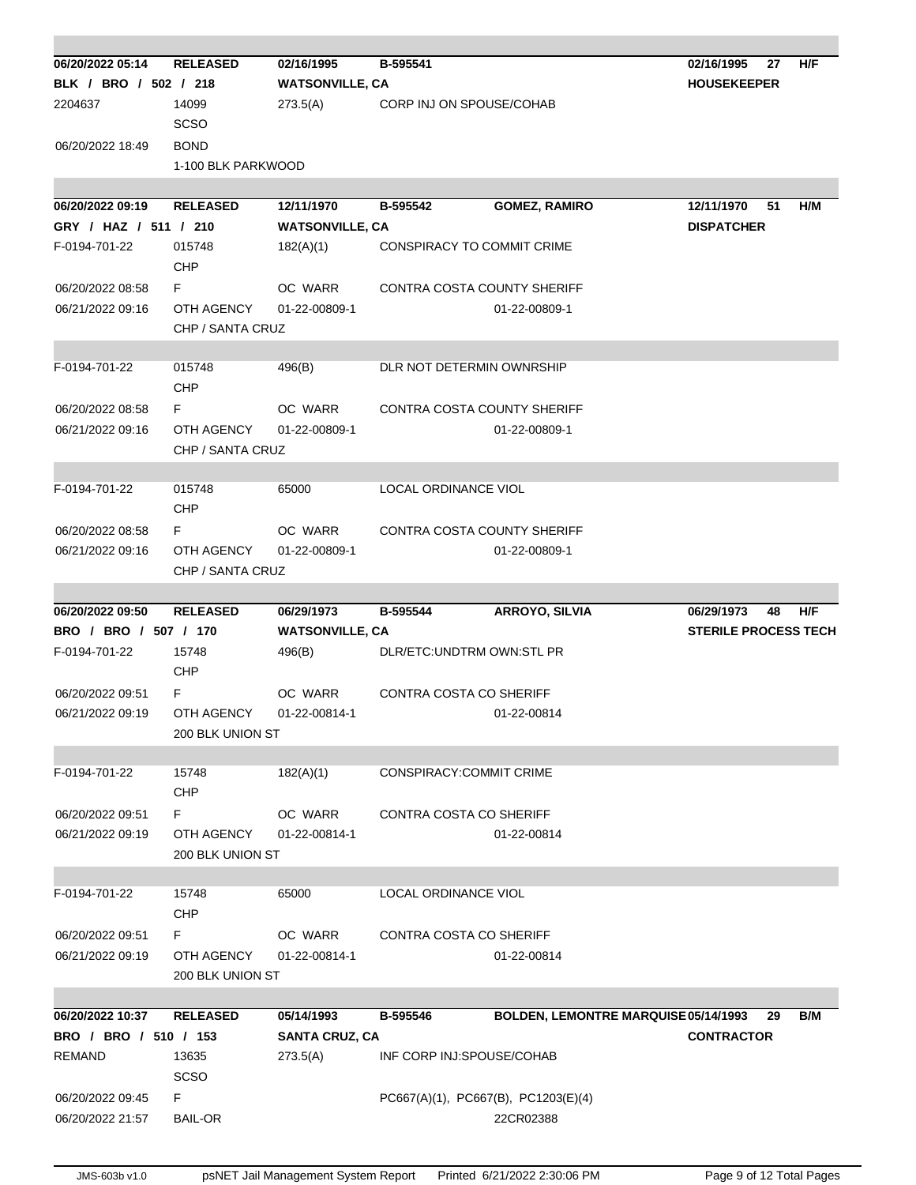| 06/20/2022 05:14      | <b>RELEASED</b>    | 02/16/1995             | B-595541                       |                                      | 02/16/1995<br>27<br>H/F                                |  |
|-----------------------|--------------------|------------------------|--------------------------------|--------------------------------------|--------------------------------------------------------|--|
| BLK / BRO / 502 / 218 |                    | <b>WATSONVILLE, CA</b> |                                |                                      | <b>HOUSEKEEPER</b>                                     |  |
| 2204637               | 14099              | 273.5(A)               | CORP INJ ON SPOUSE/COHAB       |                                      |                                                        |  |
|                       | <b>SCSO</b>        |                        |                                |                                      |                                                        |  |
| 06/20/2022 18:49      | <b>BOND</b>        |                        |                                |                                      |                                                        |  |
|                       | 1-100 BLK PARKWOOD |                        |                                |                                      |                                                        |  |
|                       |                    |                        |                                |                                      |                                                        |  |
| 06/20/2022 09:19      | <b>RELEASED</b>    | 12/11/1970             | B-595542                       | <b>GOMEZ, RAMIRO</b>                 | 12/11/1970<br>51<br>H/M                                |  |
| GRY / HAZ / 511 / 210 |                    | <b>WATSONVILLE, CA</b> |                                |                                      | <b>DISPATCHER</b>                                      |  |
| F-0194-701-22         | 015748             | 182(A)(1)              |                                | CONSPIRACY TO COMMIT CRIME           |                                                        |  |
|                       | <b>CHP</b>         |                        |                                |                                      |                                                        |  |
| 06/20/2022 08:58      | F.                 | OC WARR                |                                | CONTRA COSTA COUNTY SHERIFF          |                                                        |  |
| 06/21/2022 09:16      | OTH AGENCY         | 01-22-00809-1          |                                | 01-22-00809-1                        |                                                        |  |
|                       | CHP / SANTA CRUZ   |                        |                                |                                      |                                                        |  |
|                       |                    |                        |                                |                                      |                                                        |  |
| F-0194-701-22         | 015748             | 496(B)                 | DLR NOT DETERMIN OWNRSHIP      |                                      |                                                        |  |
|                       | <b>CHP</b>         |                        |                                |                                      |                                                        |  |
|                       |                    |                        |                                |                                      |                                                        |  |
| 06/20/2022 08:58      | F.                 | OC WARR                |                                | CONTRA COSTA COUNTY SHERIFF          |                                                        |  |
| 06/21/2022 09:16      | OTH AGENCY         | 01-22-00809-1          |                                | 01-22-00809-1                        |                                                        |  |
|                       | CHP / SANTA CRUZ   |                        |                                |                                      |                                                        |  |
|                       |                    | 65000                  | LOCAL ORDINANCE VIOL           |                                      |                                                        |  |
| F-0194-701-22         | 015748             |                        |                                |                                      |                                                        |  |
|                       | CHP                |                        |                                |                                      |                                                        |  |
| 06/20/2022 08:58      | F.                 | OC WARR                |                                | CONTRA COSTA COUNTY SHERIFF          |                                                        |  |
| 06/21/2022 09:16      | OTH AGENCY         | 01-22-00809-1          |                                | 01-22-00809-1                        |                                                        |  |
|                       | CHP / SANTA CRUZ   |                        |                                |                                      |                                                        |  |
|                       |                    |                        |                                |                                      |                                                        |  |
| 06/20/2022 09:50      | <b>RELEASED</b>    | 06/29/1973             | B-595544                       | <b>ARROYO, SILVIA</b>                | H/F<br>06/29/1973<br>48<br><b>STERILE PROCESS TECH</b> |  |
| BRO / BRO / 507 / 170 |                    | <b>WATSONVILLE, CA</b> |                                |                                      |                                                        |  |
| F-0194-701-22         | 15748              | 496(B)                 | DLR/ETC: UNDTRM OWN: STL PR    |                                      |                                                        |  |
|                       | <b>CHP</b>         |                        |                                |                                      |                                                        |  |
| 06/20/2022 09:51      | F.                 | OC WARR                | CONTRA COSTA CO SHERIFF        |                                      |                                                        |  |
| 06/21/2022 09:19      | OTH AGENCY         | 01-22-00814-1          |                                | 01-22-00814                          |                                                        |  |
|                       | 200 BLK UNION ST   |                        |                                |                                      |                                                        |  |
|                       |                    |                        |                                |                                      |                                                        |  |
| F-0194-701-22         | 15748              | 182(A)(1)              | <b>CONSPIRACY:COMMIT CRIME</b> |                                      |                                                        |  |
|                       | <b>CHP</b>         |                        |                                |                                      |                                                        |  |
| 06/20/2022 09:51      | F.                 | OC WARR                | CONTRA COSTA CO SHERIFF        |                                      |                                                        |  |
| 06/21/2022 09:19      | OTH AGENCY         | 01-22-00814-1          |                                | 01-22-00814                          |                                                        |  |
|                       | 200 BLK UNION ST   |                        |                                |                                      |                                                        |  |
|                       |                    |                        |                                |                                      |                                                        |  |
| F-0194-701-22         | 15748              | 65000                  | LOCAL ORDINANCE VIOL           |                                      |                                                        |  |
|                       | <b>CHP</b>         |                        |                                |                                      |                                                        |  |
| 06/20/2022 09:51      | F.                 | OC WARR                | CONTRA COSTA CO SHERIFF        |                                      |                                                        |  |
| 06/21/2022 09:19      | OTH AGENCY         | 01-22-00814-1          |                                | 01-22-00814                          |                                                        |  |
|                       | 200 BLK UNION ST   |                        |                                |                                      |                                                        |  |
|                       |                    |                        |                                |                                      |                                                        |  |
| 06/20/2022 10:37      | <b>RELEASED</b>    | 05/14/1993             | B-595546                       | BOLDEN, LEMONTRE MARQUISE 05/14/1993 | B/M<br>29                                              |  |
| BRO / BRO / 510 / 153 |                    | <b>SANTA CRUZ, CA</b>  |                                |                                      | <b>CONTRACTOR</b>                                      |  |
| <b>REMAND</b>         | 13635              | 273.5(A)               | INF CORP INJ:SPOUSE/COHAB      |                                      |                                                        |  |
|                       | <b>SCSO</b>        |                        |                                |                                      |                                                        |  |
| 06/20/2022 09:45      | F.                 |                        |                                | PC667(A)(1), PC667(B), PC1203(E)(4)  |                                                        |  |
| 06/20/2022 21:57      | <b>BAIL-OR</b>     |                        |                                | 22CR02388                            |                                                        |  |
|                       |                    |                        |                                |                                      |                                                        |  |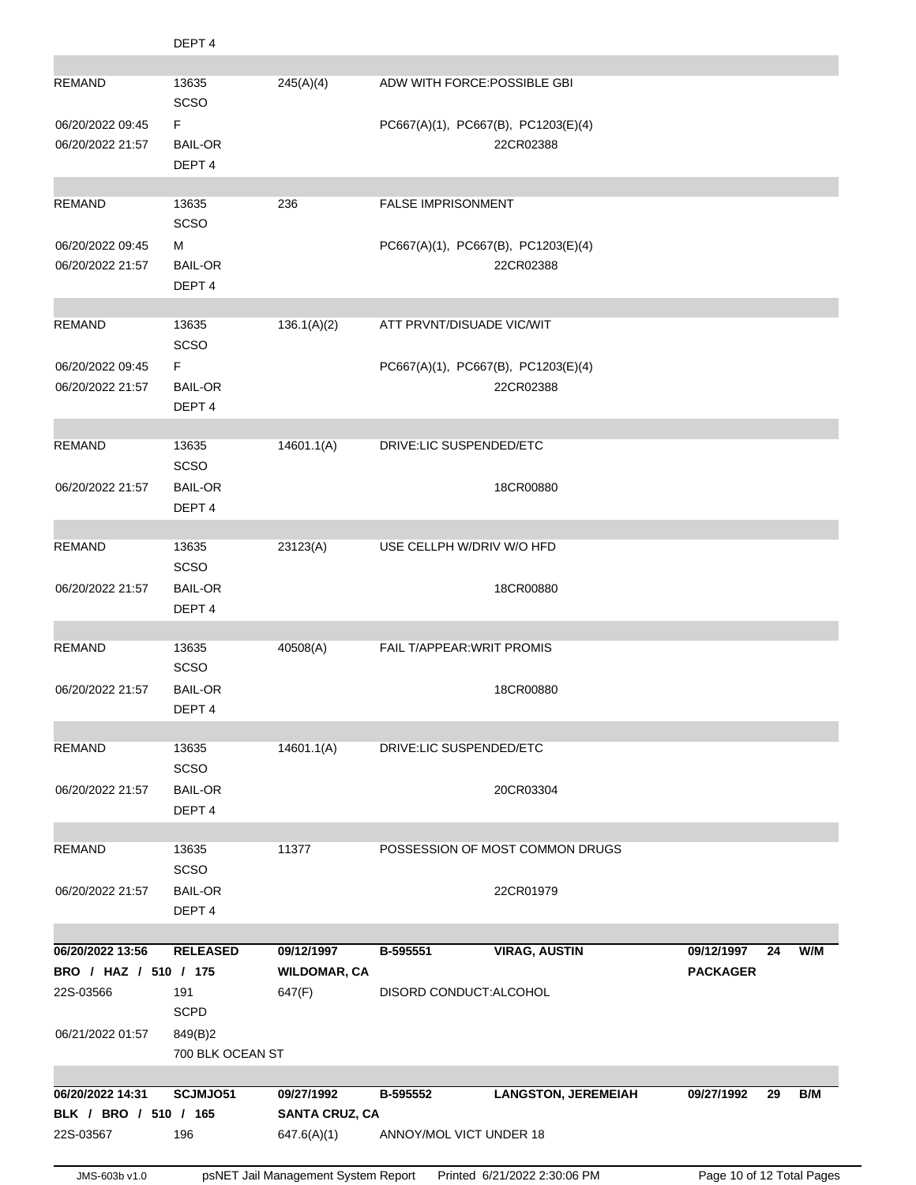|                                           | DEPT <sub>4</sub>                   |                                     |                                                                                |
|-------------------------------------------|-------------------------------------|-------------------------------------|--------------------------------------------------------------------------------|
| <b>REMAND</b>                             | 13635                               | 245(A)(4)                           | ADW WITH FORCE: POSSIBLE GBI                                                   |
|                                           | SCSO                                |                                     |                                                                                |
| 06/20/2022 09:45<br>06/20/2022 21:57      | F<br><b>BAIL-OR</b>                 |                                     | PC667(A)(1), PC667(B), PC1203(E)(4)<br>22CR02388                               |
|                                           | DEPT <sub>4</sub>                   |                                     |                                                                                |
|                                           |                                     |                                     |                                                                                |
| <b>REMAND</b>                             | 13635<br>SCSO                       | 236                                 | <b>FALSE IMPRISONMENT</b>                                                      |
| 06/20/2022 09:45                          | м                                   |                                     | PC667(A)(1), PC667(B), PC1203(E)(4)                                            |
| 06/20/2022 21:57                          | <b>BAIL-OR</b>                      |                                     | 22CR02388                                                                      |
|                                           | DEPT <sub>4</sub>                   |                                     |                                                                                |
| <b>REMAND</b>                             | 13635                               | 136.1(A)(2)                         | ATT PRVNT/DISUADE VIC/WIT                                                      |
|                                           | SCSO                                |                                     |                                                                                |
| 06/20/2022 09:45<br>06/20/2022 21:57      | F<br><b>BAIL-OR</b>                 |                                     | PC667(A)(1), PC667(B), PC1203(E)(4)<br>22CR02388                               |
|                                           | DEPT <sub>4</sub>                   |                                     |                                                                                |
| <b>REMAND</b>                             | 13635                               | 14601.1(A)                          | DRIVE:LIC SUSPENDED/ETC                                                        |
|                                           | SCSO                                |                                     |                                                                                |
| 06/20/2022 21:57                          | <b>BAIL-OR</b>                      |                                     | 18CR00880                                                                      |
|                                           | DEPT <sub>4</sub>                   |                                     |                                                                                |
| REMAND                                    | 13635                               | 23123(A)                            | USE CELLPH W/DRIV W/O HFD                                                      |
|                                           | SCSO                                |                                     |                                                                                |
| 06/20/2022 21:57                          | <b>BAIL-OR</b><br>DEPT <sub>4</sub> |                                     | 18CR00880                                                                      |
|                                           |                                     |                                     |                                                                                |
| REMAND                                    | 13635<br>SCSO                       | 40508(A)                            | <b>FAIL T/APPEAR: WRIT PROMIS</b>                                              |
| 06/20/2022 21:57                          | <b>BAIL-OR</b>                      |                                     | 18CR00880                                                                      |
|                                           | DEPT <sub>4</sub>                   |                                     |                                                                                |
| <b>REMAND</b>                             | 13635                               | 14601.1(A)                          | DRIVE:LIC SUSPENDED/ETC                                                        |
|                                           | SCSO                                |                                     |                                                                                |
| 06/20/2022 21:57                          | <b>BAIL-OR</b>                      |                                     | 20CR03304                                                                      |
|                                           | DEPT <sub>4</sub>                   |                                     |                                                                                |
| <b>REMAND</b>                             | 13635                               | 11377                               | POSSESSION OF MOST COMMON DRUGS                                                |
| 06/20/2022 21:57                          | SCSO<br><b>BAIL-OR</b>              |                                     | 22CR01979                                                                      |
|                                           | DEPT <sub>4</sub>                   |                                     |                                                                                |
|                                           |                                     |                                     |                                                                                |
| 06/20/2022 13:56<br>BRO / HAZ / 510 / 175 | <b>RELEASED</b>                     | 09/12/1997<br><b>WILDOMAR, CA</b>   | <b>VIRAG, AUSTIN</b><br>W/M<br>B-595551<br>09/12/1997<br>24<br><b>PACKAGER</b> |
| 22S-03566                                 | 191                                 | 647(F)                              | DISORD CONDUCT: ALCOHOL                                                        |
|                                           | <b>SCPD</b>                         |                                     |                                                                                |
| 06/21/2022 01:57                          | 849(B)2<br>700 BLK OCEAN ST         |                                     |                                                                                |
|                                           |                                     |                                     |                                                                                |
| 06/20/2022 14:31<br>BLK / BRO / 510 / 165 | SCJMJO51                            | 09/27/1992<br><b>SANTA CRUZ, CA</b> | B-595552<br><b>LANGSTON, JEREMEIAH</b><br>B/M<br>09/27/1992<br>29              |
| 22S-03567                                 | 196                                 | 647.6(A)(1)                         | ANNOY/MOL VICT UNDER 18                                                        |
|                                           |                                     |                                     |                                                                                |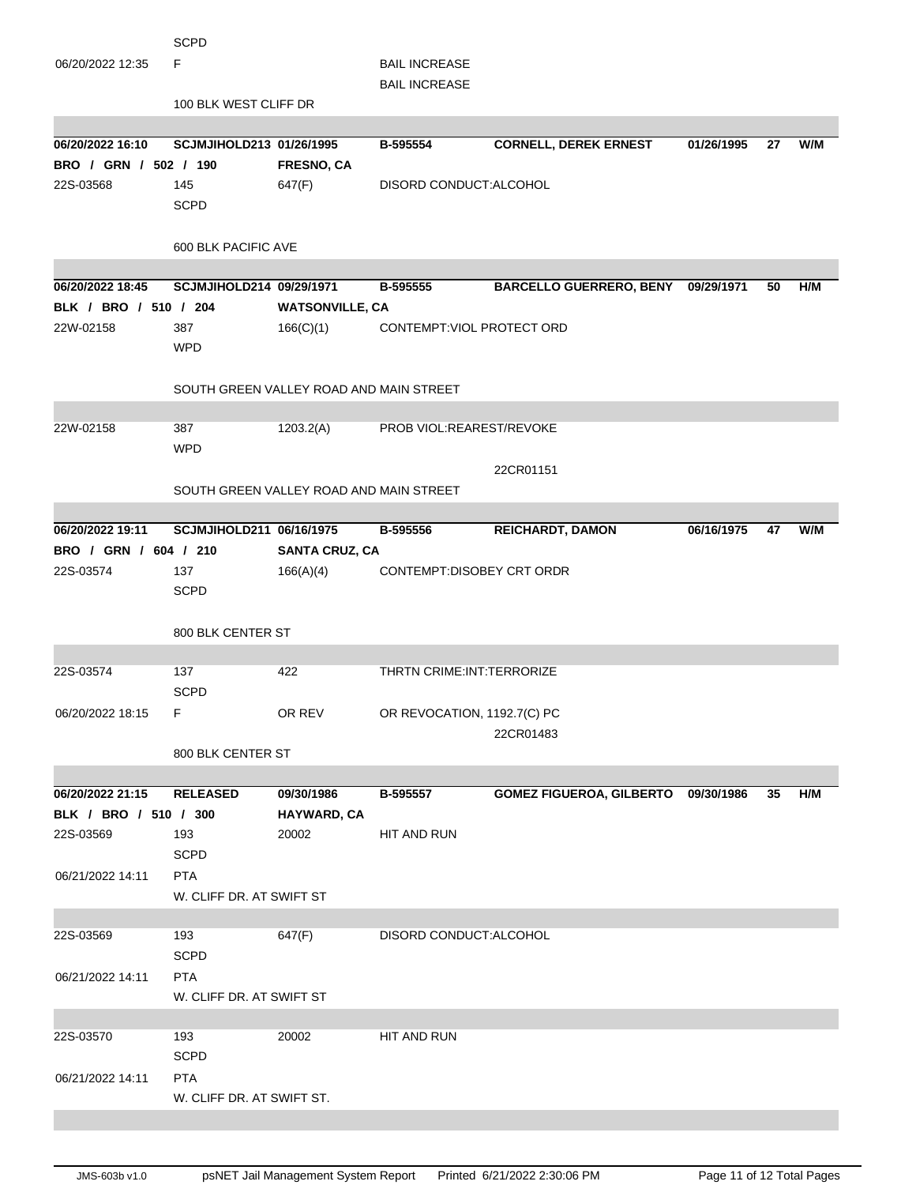|                                           | SCPD                      |                                         |                                    |                                     |            |    |     |
|-------------------------------------------|---------------------------|-----------------------------------------|------------------------------------|-------------------------------------|------------|----|-----|
| 06/20/2022 12:35                          | F                         |                                         | <b>BAIL INCREASE</b>               |                                     |            |    |     |
|                                           |                           |                                         | <b>BAIL INCREASE</b>               |                                     |            |    |     |
|                                           | 100 BLK WEST CLIFF DR     |                                         |                                    |                                     |            |    |     |
|                                           |                           |                                         |                                    |                                     |            |    |     |
| 06/20/2022 16:10                          | SCJMJIHOLD213 01/26/1995  |                                         | B-595554                           | <b>CORNELL, DEREK ERNEST</b>        | 01/26/1995 | 27 | W/M |
| BRO / GRN / 502 / 190                     |                           | <b>FRESNO, CA</b>                       |                                    |                                     |            |    |     |
| 22S-03568                                 | 145                       | 647(F)                                  | DISORD CONDUCT: ALCOHOL            |                                     |            |    |     |
|                                           | <b>SCPD</b>               |                                         |                                    |                                     |            |    |     |
|                                           |                           |                                         |                                    |                                     |            |    |     |
|                                           | 600 BLK PACIFIC AVE       |                                         |                                    |                                     |            |    |     |
|                                           |                           |                                         |                                    |                                     |            |    |     |
| 06/20/2022 18:45<br>BLK / BRO / 510 / 204 | SCJMJIHOLD214 09/29/1971  |                                         | B-595555                           | BARCELLO GUERRERO, BENY 09/29/1971  |            | 50 | H/M |
| 22W-02158                                 | 387                       | <b>WATSONVILLE, CA</b><br>166(C)(1)     | CONTEMPT: VIOL PROTECT ORD         |                                     |            |    |     |
|                                           | <b>WPD</b>                |                                         |                                    |                                     |            |    |     |
|                                           |                           |                                         |                                    |                                     |            |    |     |
|                                           |                           | SOUTH GREEN VALLEY ROAD AND MAIN STREET |                                    |                                     |            |    |     |
|                                           |                           |                                         |                                    |                                     |            |    |     |
| 22W-02158                                 | 387                       | 1203.2(A)                               | PROB VIOL: REAREST/REVOKE          |                                     |            |    |     |
|                                           | <b>WPD</b>                |                                         |                                    |                                     |            |    |     |
|                                           |                           |                                         |                                    | 22CR01151                           |            |    |     |
|                                           |                           | SOUTH GREEN VALLEY ROAD AND MAIN STREET |                                    |                                     |            |    |     |
|                                           |                           |                                         |                                    |                                     |            |    |     |
| 06/20/2022 19:11                          | SCJMJIHOLD211 06/16/1975  |                                         | B-595556                           | <b>REICHARDT, DAMON</b>             | 06/16/1975 | 47 | W/M |
| BRO / GRN / 604 / 210                     |                           | <b>SANTA CRUZ, CA</b>                   |                                    |                                     |            |    |     |
| 22S-03574                                 | 137                       | 166(A)(4)                               | CONTEMPT:DISOBEY CRT ORDR          |                                     |            |    |     |
|                                           | <b>SCPD</b>               |                                         |                                    |                                     |            |    |     |
|                                           |                           |                                         |                                    |                                     |            |    |     |
|                                           | 800 BLK CENTER ST         |                                         |                                    |                                     |            |    |     |
|                                           |                           |                                         |                                    |                                     |            |    |     |
| 22S-03574                                 | 137                       | 422                                     | <b>THRTN CRIME: INT: TERRORIZE</b> |                                     |            |    |     |
|                                           | <b>SCPD</b>               |                                         |                                    |                                     |            |    |     |
| 06/20/2022 18:15                          | F                         | OR REV                                  | OR REVOCATION, 1192.7(C) PC        |                                     |            |    |     |
|                                           |                           |                                         |                                    | 22CR01483                           |            |    |     |
|                                           | 800 BLK CENTER ST         |                                         |                                    |                                     |            |    |     |
| 06/20/2022 21:15                          | <b>RELEASED</b>           | 09/30/1986                              | B-595557                           | GOMEZ FIGUEROA, GILBERTO 09/30/1986 |            | 35 | H/M |
| BLK / BRO / 510 / 300                     |                           | HAYWARD, CA                             |                                    |                                     |            |    |     |
| 22S-03569                                 | 193                       | 20002                                   | HIT AND RUN                        |                                     |            |    |     |
|                                           | <b>SCPD</b>               |                                         |                                    |                                     |            |    |     |
| 06/21/2022 14:11                          | <b>PTA</b>                |                                         |                                    |                                     |            |    |     |
|                                           | W. CLIFF DR. AT SWIFT ST  |                                         |                                    |                                     |            |    |     |
|                                           |                           |                                         |                                    |                                     |            |    |     |
| 22S-03569                                 | 193                       | 647(F)                                  | DISORD CONDUCT: ALCOHOL            |                                     |            |    |     |
|                                           | <b>SCPD</b>               |                                         |                                    |                                     |            |    |     |
| 06/21/2022 14:11                          | <b>PTA</b>                |                                         |                                    |                                     |            |    |     |
|                                           | W. CLIFF DR. AT SWIFT ST  |                                         |                                    |                                     |            |    |     |
|                                           |                           |                                         |                                    |                                     |            |    |     |
| 22S-03570                                 | 193                       | 20002                                   | HIT AND RUN                        |                                     |            |    |     |
|                                           | <b>SCPD</b>               |                                         |                                    |                                     |            |    |     |
| 06/21/2022 14:11                          | <b>PTA</b>                |                                         |                                    |                                     |            |    |     |
|                                           | W. CLIFF DR. AT SWIFT ST. |                                         |                                    |                                     |            |    |     |
|                                           |                           |                                         |                                    |                                     |            |    |     |